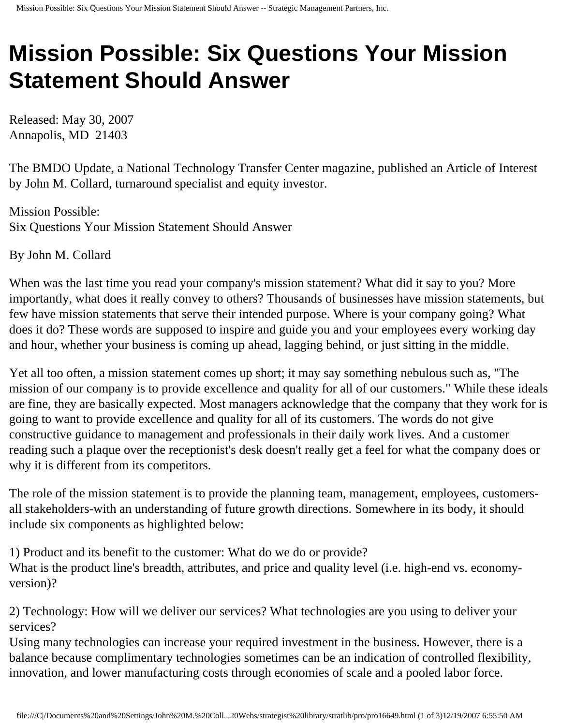## **Mission Possible: Six Questions Your Mission Statement Should Answer**

Released: May 30, 2007 Annapolis, MD 21403

The BMDO Update, a National Technology Transfer Center magazine, published an Article of Interest by John M. Collard, turnaround specialist and equity investor.

Mission Possible: Six Questions Your Mission Statement Should Answer

By John M. Collard

When was the last time you read your company's mission statement? What did it say to you? More importantly, what does it really convey to others? Thousands of businesses have mission statements, but few have mission statements that serve their intended purpose. Where is your company going? What does it do? These words are supposed to inspire and guide you and your employees every working day and hour, whether your business is coming up ahead, lagging behind, or just sitting in the middle.

Yet all too often, a mission statement comes up short; it may say something nebulous such as, "The mission of our company is to provide excellence and quality for all of our customers." While these ideals are fine, they are basically expected. Most managers acknowledge that the company that they work for is going to want to provide excellence and quality for all of its customers. The words do not give constructive guidance to management and professionals in their daily work lives. And a customer reading such a plaque over the receptionist's desk doesn't really get a feel for what the company does or why it is different from its competitors.

The role of the mission statement is to provide the planning team, management, employees, customersall stakeholders-with an understanding of future growth directions. Somewhere in its body, it should include six components as highlighted below:

1) Product and its benefit to the customer: What do we do or provide? What is the product line's breadth, attributes, and price and quality level (i.e. high-end vs. economyversion)?

2) Technology: How will we deliver our services? What technologies are you using to deliver your services?

Using many technologies can increase your required investment in the business. However, there is a balance because complimentary technologies sometimes can be an indication of controlled flexibility, innovation, and lower manufacturing costs through economies of scale and a pooled labor force.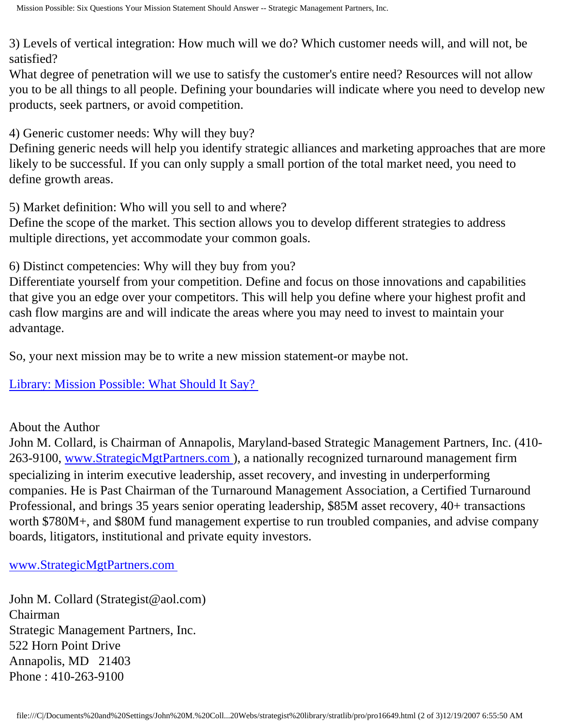3) Levels of vertical integration: How much will we do? Which customer needs will, and will not, be satisfied?

What degree of penetration will we use to satisfy the customer's entire need? Resources will not allow you to be all things to all people. Defining your boundaries will indicate where you need to develop new products, seek partners, or avoid competition.

4) Generic customer needs: Why will they buy?

Defining generic needs will help you identify strategic alliances and marketing approaches that are more likely to be successful. If you can only supply a small portion of the total market need, you need to define growth areas.

5) Market definition: Who will you sell to and where?

Define the scope of the market. This section allows you to develop different strategies to address multiple directions, yet accommodate your common goals.

6) Distinct competencies: Why will they buy from you?

Differentiate yourself from your competition. Define and focus on those innovations and capabilities that give you an edge over your competitors. This will help you define where your highest profit and cash flow margins are and will indicate the areas where you may need to invest to maintain your advantage.

So, your next mission may be to write a new mission statement-or maybe not.

[Library: Mission Possible: What Should It Say?](http://members.aol.com/stratlib2/bmdoup1.html)

About the Author

John M. Collard, is Chairman of Annapolis, Maryland-based Strategic Management Partners, Inc. (410- 263-9100, [www.StrategicMgtPartners.com](http://www.strategicmgtpartners.com/) ), a nationally recognized turnaround management firm specializing in interim executive leadership, asset recovery, and investing in underperforming companies. He is Past Chairman of the Turnaround Management Association, a Certified Turnaround Professional, and brings 35 years senior operating leadership, \$85M asset recovery, 40+ transactions worth \$780M+, and \$80M fund management expertise to run troubled companies, and advise company boards, litigators, institutional and private equity investors.

[www.StrategicMgtPartners.com](http://www.strategicmgtpartners.com/)

John M. Collard (Strategist@aol.com) Chairman Strategic Management Partners, Inc. 522 Horn Point Drive Annapolis, MD 21403 Phone : 410-263-9100